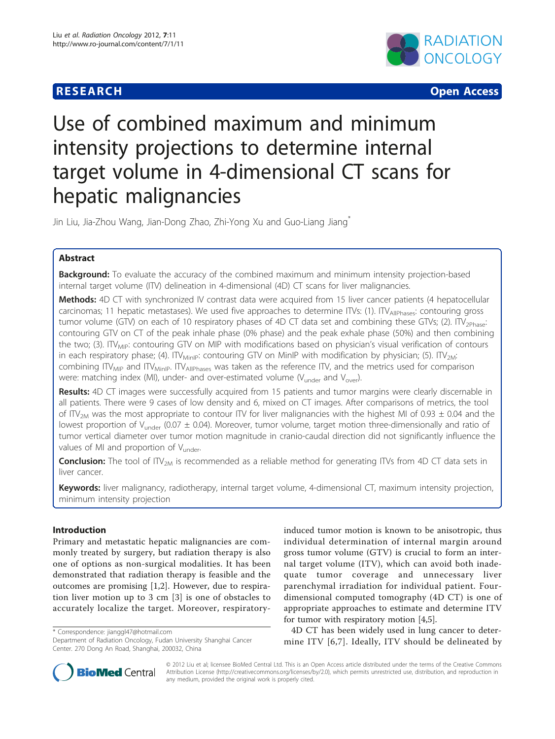

**RESEARCH CONSTRUCTION CONSTRUCTS** 

# Use of combined maximum and minimum intensity projections to determine internal target volume in 4-dimensional CT scans for hepatic malignancies

Jin Liu, Jia-Zhou Wang, Jian-Dong Zhao, Zhi-Yong Xu and Guo-Liang Jiang\*

# Abstract

**Background:** To evaluate the accuracy of the combined maximum and minimum intensity projection-based internal target volume (ITV) delineation in 4-dimensional (4D) CT scans for liver malignancies.

Methods: 4D CT with synchronized IV contrast data were acquired from 15 liver cancer patients (4 hepatocellular carcinomas; 11 hepatic metastases). We used five approaches to determine ITVs: (1). ITV<sub>AllPhases</sub>: contouring gross tumor volume (GTV) on each of 10 respiratory phases of 4D CT data set and combining these GTVs; (2). ITV<sub>2Phase</sub>: contouring GTV on CT of the peak inhale phase (0% phase) and the peak exhale phase (50%) and then combining the two; (3). ITV<sub>MIP</sub>: contouring GTV on MIP with modifications based on physician's visual verification of contours in each respiratory phase; (4). ITV<sub>MinIP</sub>: contouring GTV on MinIP with modification by physician; (5). ITV<sub>2M</sub>: combining ITV<sub>MIP</sub> and ITV<sub>MinIP</sub>. ITV<sub>AllPhases</sub> was taken as the reference ITV, and the metrics used for comparison were: matching index (MI), under- and over-estimated volume ( $V_{under}$  and  $V_{over}$ ).

Results: 4D CT images were successfully acquired from 15 patients and tumor margins were clearly discernable in all patients. There were 9 cases of low density and 6, mixed on CT images. After comparisons of metrics, the tool of ITV<sub>2M</sub> was the most appropriate to contour ITV for liver malignancies with the highest MI of 0.93  $\pm$  0.04 and the lowest proportion of V<sub>under</sub> (0.07  $\pm$  0.04). Moreover, tumor volume, target motion three-dimensionally and ratio of tumor vertical diameter over tumor motion magnitude in cranio-caudal direction did not significantly influence the values of MI and proportion of V<sub>under</sub>.

Conclusion: The tool of ITV<sub>2M</sub> is recommended as a reliable method for generating ITVs from 4D CT data sets in liver cancer.

Keywords: liver malignancy, radiotherapy, internal target volume, 4-dimensional CT, maximum intensity projection, minimum intensity projection

# Introduction

Primary and metastatic hepatic malignancies are commonly treated by surgery, but radiation therapy is also one of options as non-surgical modalities. It has been demonstrated that radiation therapy is feasible and the outcomes are promising [[1,2\]](#page-7-0). However, due to respiration liver motion up to 3 cm [[3\]](#page-7-0) is one of obstacles to accurately localize the target. Moreover, respiratory-

\* Correspondence: [jianggl47@hotmail.com](mailto:jianggl47@hotmail.com)

Department of Radiation Oncology, Fudan University Shanghai Cancer Center. 270 Dong An Road, Shanghai, 200032, China

induced tumor motion is known to be anisotropic, thus individual determination of internal margin around gross tumor volume (GTV) is crucial to form an internal target volume (ITV), which can avoid both inadequate tumor coverage and unnecessary liver parenchymal irradiation for individual patient. Fourdimensional computed tomography (4D CT) is one of appropriate approaches to estimate and determine ITV for tumor with respiratory motion [\[4,5\]](#page-7-0).

4D CT has been widely used in lung cancer to determine ITV [[6,7\]](#page-7-0). Ideally, ITV should be delineated by



© 2012 Liu et al; licensee BioMed Central Ltd. This is an Open Access article distributed under the terms of the Creative Commons Attribution License [\(http://creativecommons.org/licenses/by/2.0](http://creativecommons.org/licenses/by/2.0)), which permits unrestricted use, distribution, and reproduction in any medium, provided the original work is properly cited.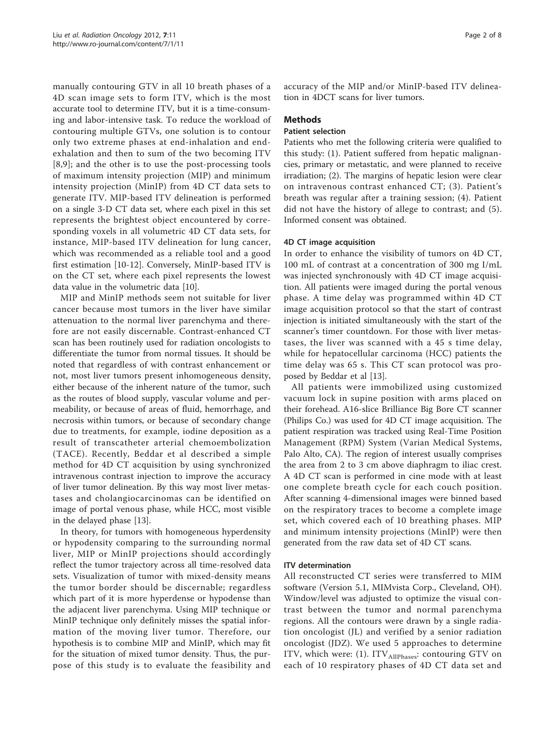manually contouring GTV in all 10 breath phases of a 4D scan image sets to form ITV, which is the most accurate tool to determine ITV, but it is a time-consuming and labor-intensive task. To reduce the workload of contouring multiple GTVs, one solution is to contour only two extreme phases at end-inhalation and endexhalation and then to sum of the two becoming ITV [[8,9\]](#page-7-0); and the other is to use the post-processing tools of maximum intensity projection (MIP) and minimum intensity projection (MinIP) from 4D CT data sets to generate ITV. MIP-based ITV delineation is performed on a single 3-D CT data set, where each pixel in this set represents the brightest object encountered by corresponding voxels in all volumetric 4D CT data sets, for instance, MIP-based ITV delineation for lung cancer, which was recommended as a reliable tool and a good first estimation [[10-12](#page-7-0)]. Conversely, MinIP-based ITV is on the CT set, where each pixel represents the lowest data value in the volumetric data [[10\]](#page-7-0).

MIP and MinIP methods seem not suitable for liver cancer because most tumors in the liver have similar attenuation to the normal liver parenchyma and therefore are not easily discernable. Contrast-enhanced CT scan has been routinely used for radiation oncologists to differentiate the tumor from normal tissues. It should be noted that regardless of with contrast enhancement or not, most liver tumors present inhomogeneous density, either because of the inherent nature of the tumor, such as the routes of blood supply, vascular volume and permeability, or because of areas of fluid, hemorrhage, and necrosis within tumors, or because of secondary change due to treatments, for example, iodine deposition as a result of transcatheter arterial chemoembolization (TACE). Recently, Beddar et al described a simple method for 4D CT acquisition by using synchronized intravenous contrast injection to improve the accuracy of liver tumor delineation. By this way most liver metastases and cholangiocarcinomas can be identified on image of portal venous phase, while HCC, most visible in the delayed phase [[13\]](#page-7-0).

In theory, for tumors with homogeneous hyperdensity or hypodensity comparing to the surrounding normal liver, MIP or MinIP projections should accordingly reflect the tumor trajectory across all time-resolved data sets. Visualization of tumor with mixed-density means the tumor border should be discernable; regardless which part of it is more hyperdense or hypodense than the adjacent liver parenchyma. Using MIP technique or MinIP technique only definitely misses the spatial information of the moving liver tumor. Therefore, our hypothesis is to combine MIP and MinIP, which may fit for the situation of mixed tumor density. Thus, the purpose of this study is to evaluate the feasibility and accuracy of the MIP and/or MinIP-based ITV delineation in 4DCT scans for liver tumors.

## Methods

# Patient selection

Patients who met the following criteria were qualified to this study: (1). Patient suffered from hepatic malignancies, primary or metastatic, and were planned to receive irradiation; (2). The margins of hepatic lesion were clear on intravenous contrast enhanced CT; (3). Patient's breath was regular after a training session; (4). Patient did not have the history of allege to contrast; and (5). Informed consent was obtained.

### 4D CT image acquisition

In order to enhance the visibility of tumors on 4D CT, 100 mL of contrast at a concentration of 300 mg I/mL was injected synchronously with 4D CT image acquisition. All patients were imaged during the portal venous phase. A time delay was programmed within 4D CT image acquisition protocol so that the start of contrast injection is initiated simultaneously with the start of the scanner's timer countdown. For those with liver metastases, the liver was scanned with a 45 s time delay, while for hepatocellular carcinoma (HCC) patients the time delay was 65 s. This CT scan protocol was proposed by Beddar et al [\[13\]](#page-7-0).

All patients were immobilized using customized vacuum lock in supine position with arms placed on their forehead. A16-slice Brilliance Big Bore CT scanner (Philips Co.) was used for 4D CT image acquisition. The patient respiration was tracked using Real-Time Position Management (RPM) System (Varian Medical Systems, Palo Alto, CA). The region of interest usually comprises the area from 2 to 3 cm above diaphragm to iliac crest. A 4D CT scan is performed in cine mode with at least one complete breath cycle for each couch position. After scanning 4-dimensional images were binned based on the respiratory traces to become a complete image set, which covered each of 10 breathing phases. MIP and minimum intensity projections (MinIP) were then generated from the raw data set of 4D CT scans.

# ITV determination

All reconstructed CT series were transferred to MIM software (Version 5.1, MIMvista Corp., Cleveland, OH). Window/level was adjusted to optimize the visual contrast between the tumor and normal parenchyma regions. All the contours were drawn by a single radiation oncologist (JL) and verified by a senior radiation oncologist (JDZ). We used 5 approaches to determine ITV, which were: (1). ITV<sub>AllPhases</sub>: contouring GTV on each of 10 respiratory phases of 4D CT data set and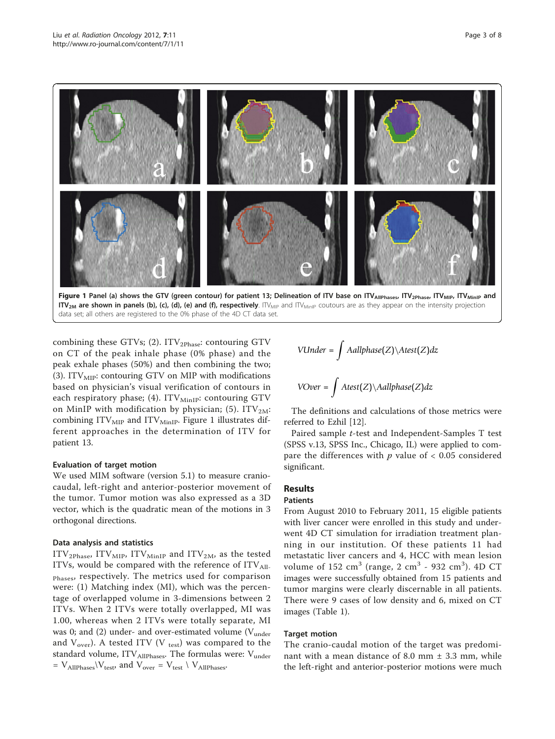

Figure 1 Panel (a) shows the GTV (green contour) for patient 13; Delineation of ITV base on ITV<sub>AllPhases</sub>, ITV<sub>2Phaser</sub>, ITV<sub>MinIP</sub>, ITV<sub>MinIP</sub> and ITV<sub>2M</sub> are shown in panels (b), (c), (d), (e) and (f), respectively. ITV<sub>MIP</sub> and ITV<sub>MinIP</sub> coutours are as they appear on the intensity projection data set; all others are registered to the 0% phase of the 4D CT data set.

combining these GTVs; (2).  $ITV_{2Phase}$ : contouring GTV on CT of the peak inhale phase (0% phase) and the peak exhale phases (50%) and then combining the two; (3). ITV<sub>MIP</sub>: contouring GTV on MIP with modifications based on physician's visual verification of contours in each respiratory phase; (4). ITV $_{\text{MinIP}}$ : contouring GTV on MinIP with modification by physician; (5). ITV<sub>2M</sub>: combining  $ITV<sub>MIP</sub>$  and  $ITV<sub>MinIP</sub>$ . Figure 1 illustrates different approaches in the determination of ITV for patient 13.

# Evaluation of target motion

We used MIM software (version 5.1) to measure craniocaudal, left-right and anterior-posterior movement of the tumor. Tumor motion was also expressed as a 3D vector, which is the quadratic mean of the motions in 3 orthogonal directions.

#### Data analysis and statistics

 $\rm ITV_{2Phase},$   $\rm ITV_{MIP},$   $\rm ITV_{MinIP}$  and  $\rm ITV_{2M},$  as the tested ITVs, would be compared with the reference of  $ITV_{All}$ . Phases, respectively. The metrics used for comparison were: (1) Matching index (MI), which was the percentage of overlapped volume in 3-dimensions between 2 ITVs. When 2 ITVs were totally overlapped, MI was 1.00, whereas when 2 ITVs were totally separate, MI was 0; and (2) under- and over-estimated volume ( $V_{under}$ and  $V_{over}$ ). A tested ITV (V test) was compared to the standard volume, ITV<sub>AllPhases</sub>. The formulas were: V<sub>under</sub>  $=$  V<sub>AllPhases</sub>\V<sub>test</sub>, and V<sub>over</sub> = V<sub>test</sub> \ V<sub>AllPhases</sub>.

$$
VUnder = \int Aallphase(Z)\text{Atest}(Z)dz
$$

$$
VOver = \int Atest(Z)\text{Aallphase}(Z)dz
$$

The definitions and calculations of those metrics were referred to Ezhil [\[12\]](#page-7-0).

Paired sample t-test and Independent-Samples T test (SPSS v.13, SPSS Inc., Chicago, IL) were applied to compare the differences with  $p$  value of  $< 0.05$  considered significant.

# Results

### Patients

From August 2010 to February 2011, 15 eligible patients with liver cancer were enrolled in this study and underwent 4D CT simulation for irradiation treatment planning in our institution. Of these patients 11 had metastatic liver cancers and 4, HCC with mean lesion volume of  $152 \text{ cm}^3$  (range,  $2 \text{ cm}^3$  -  $932 \text{ cm}^3$ ).  $4\text{D}$  CT images were successfully obtained from 15 patients and tumor margins were clearly discernable in all patients. There were 9 cases of low density and 6, mixed on CT images (Table [1\)](#page-3-0).

#### Target motion

The cranio-caudal motion of the target was predominant with a mean distance of 8.0 mm  $\pm$  3.3 mm, while the left-right and anterior-posterior motions were much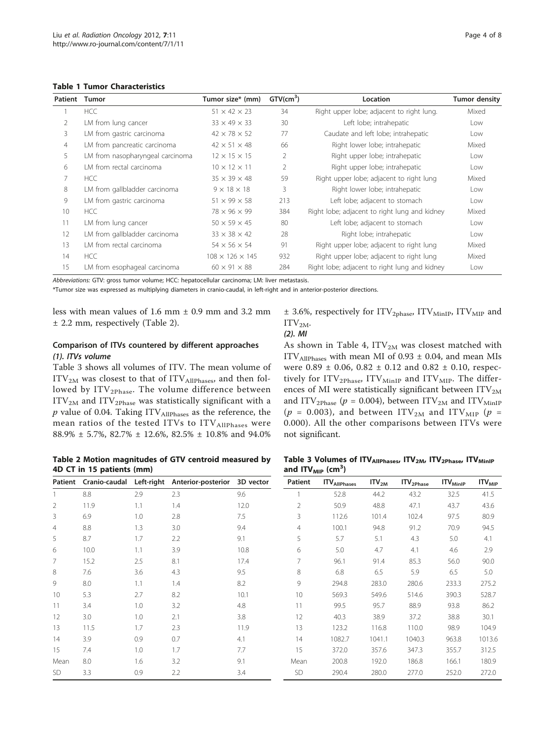<span id="page-3-0"></span>Table 1 Tumor Characteristics

|    | Patient Tumor                    | Tumor size* (mm)            | GTV(cm <sup>3</sup> ) | Location                                      | <b>Tumor density</b> |
|----|----------------------------------|-----------------------------|-----------------------|-----------------------------------------------|----------------------|
|    | <b>HCC</b>                       | $51 \times 42 \times 23$    | 34                    | Right upper lobe; adjacent to right lung.     | Mixed                |
| 2  | LM from lung cancer              | $33 \times 49 \times 33$    | 30                    | Left lobe; intrahepatic                       | Low                  |
| 3  | LM from gastric carcinoma        | $42 \times 78 \times 52$    | 77                    | Caudate and left lobe; intrahepatic           | Low                  |
| 4  | LM from pancreatic carcinoma     | $42 \times 51 \times 48$    | 66                    | Right lower lobe; intrahepatic                | Mixed                |
| 5  | LM from nasopharyngeal carcinoma | $12 \times 15 \times 15$    | $\overline{2}$        | Right upper lobe; intrahepatic                | Low                  |
| 6  | LM from rectal carcinoma         | $10 \times 12 \times 11$    | 2                     | Right upper lobe; intrahepatic                | Low                  |
|    | HCC.                             | $35 \times 39 \times 48$    | 59                    | Right upper lobe; adjacent to right lung      | Mixed                |
| 8  | LM from gallbladder carcinoma    | $9 \times 18 \times 18$     | 3                     | Right lower lobe; intrahepatic                | Low                  |
| 9  | LM from gastric carcinoma        | $51 \times 99 \times 58$    | 213                   | Left lobe; adjacent to stomach                | Low                  |
| 10 | HCC                              | $78 \times 96 \times 99$    | 384                   | Right lobe; adjacent to right lung and kidney | Mixed                |
| 11 | LM from lung cancer              | $50 \times 59 \times 45$    | 80                    | Left lobe; adjacent to stomach                | Low                  |
| 12 | LM from gallbladder carcinoma    | $33 \times 38 \times 42$    | 28                    | Right lobe; intrahepatic                      | Low                  |
| 13 | LM from rectal carcinoma         | $54 \times 56 \times 54$    | 91                    | Right upper lobe; adjacent to right lung      | Mixed                |
| 14 | <b>HCC</b>                       | $108 \times 126 \times 145$ | 932                   | Right upper lobe; adjacent to right lung      | Mixed                |

15 LM from esophageal carcinoma  $60 \times 91 \times 88$   $284$  Right lobe; adjacent to right lung and kidney Low

Abbreviations: GTV: gross tumor volume; HCC: hepatocellular carcinoma; LM: liver metastasis.

\*Tumor size was expressed as multiplying diameters in cranio-caudal, in left-right and in anterior-posterior directions.

less with mean values of 1.6 mm ± 0.9 mm and 3.2 mm ± 2.2 mm, respectively (Table 2).

# Comparison of ITVs countered by different approaches (1). ITVs volume

Table 3 shows all volumes of ITV. The mean volume of  $IV<sub>2M</sub>$  was closest to that of  $IV<sub>AllPhases</sub>$ , and then followed by ITV<sub>2Phase</sub>. The volume difference between  $IV<sub>2M</sub>$  and  $IV<sub>2Phase</sub>$  was statistically significant with a  $p$  value of 0.04. Taking ITV $_{\text{AllPhases}}$  as the reference, the mean ratios of the tested ITVs to ITVAIIPhases were 88.9% ± 5.7%, 82.7% ± 12.6%, 82.5% ± 10.8% and 94.0%

Table 2 Motion magnitudes of GTV centroid measured by 4D CT in 15 patients (mm)

|           | $\pm$ 3.6%, respectively for ITV <sub>2phase</sub> , ITV <sub>MinIP</sub> , ITV <sub>MIP</sub> and |  |  |  |
|-----------|----------------------------------------------------------------------------------------------------|--|--|--|
| $ITV2M$ . |                                                                                                    |  |  |  |

#### (2). MI

As shown in Table [4,](#page-4-0)  $\text{ITV}_{2M}$  was closest matched with ITV<sub>AllPhases</sub> with mean MI of 0.93  $\pm$  0.04, and mean MIs were 0.89 ± 0.06, 0.82 ± 0.12 and 0.82 ± 0.10, respectively for  $\text{ITV}_{\text{2Phase}}$ ,  $\text{ITV}_{\text{MinIP}}$  and  $\text{ITV}_{\text{MIP}}$ . The differences of MI were statistically significant between  $ITV<sub>2M</sub>$ and ITV<sub>2Phase</sub> ( $p = 0.004$ ), between ITV<sub>2M</sub> and ITV<sub>MinIP</sub> ( $p = 0.003$ ), and between ITV<sub>2M</sub> and ITV<sub>MIP</sub> ( $p =$ 0.000). All the other comparisons between ITVs were not significant.

Table 3 Volumes of ITV<sub>AllPhases</sub>, ITV<sub>2M</sub>, ITV<sub>2Phase</sub>, ITV<sub>MinIP</sub> and ITV $_{\text{MIP}}$  (cm<sup>3</sup>)

| Patient        | Cranio-caudal | Left-right | Anterior-posterior | 3D vector | Patient        | $\mathsf{ITV}_\mathsf{AllPhases}$ | ITV <sub>2M</sub> | $\mathsf{ITV}_\mathsf{2Phase}$ | $\textsf{ITV}_{\textsf{MinIP}}$ | <b>ITV<sub>MIF</sub></b> |
|----------------|---------------|------------|--------------------|-----------|----------------|-----------------------------------|-------------------|--------------------------------|---------------------------------|--------------------------|
|                | 8.8           | 2.9        | 2.3                | 9.6       |                | 52.8                              | 44.2              | 43.2                           | 32.5                            | 41.5                     |
| 2              | 11.9          | 1.1        | 1.4                | 12.0      | 2              | 50.9                              | 48.8              | 47.1                           | 43.7                            | 43.6                     |
| 3              | 6.9           | 1.0        | 2.8                | 7.5       | 3              | 112.6                             | 101.4             | 102.4                          | 97.5                            | 80.9                     |
| $\overline{4}$ | 8.8           | 1.3        | 3.0                | 9.4       | $\overline{4}$ | 100.1                             | 94.8              | 91.2                           | 70.9                            | 94.5                     |
| 5              | 8.7           | 1.7        | 2.2                | 9.1       | 5              | 5.7                               | 5.1               | 4.3                            | 5.0                             | 4.1                      |
| 6              | 10.0          | 1.1        | 3.9                | 10.8      | 6              | 5.0                               | 4.7               | 4.1                            | 4.6                             | 2.9                      |
| 7              | 15.2          | 2.5        | 8.1                | 17.4      | 7              | 96.1                              | 91.4              | 85.3                           | 56.0                            | 90.0                     |
| 8              | 7.6           | 3.6        | 4.3                | 9.5       | 8              | 6.8                               | 6.5               | 5.9                            | 6.5                             | 5.0                      |
| 9              | 8.0           | 1.1        | 1.4                | 8.2       | 9              | 294.8                             | 283.0             | 280.6                          | 233.3                           | 275.2                    |
| 10             | 5.3           | 2.7        | 8.2                | 10.1      | 10             | 569.3                             | 549.6             | 514.6                          | 390.3                           | 528.7                    |
| 11             | 3.4           | 1.0        | 3.2                | 4.8       | 11             | 99.5                              | 95.7              | 88.9                           | 93.8                            | 86.2                     |
| 12             | 3.0           | 1.0        | 2.1                | 3.8       | 12             | 40.3                              | 38.9              | 37.2                           | 38.8                            | 30.1                     |
| 13             | 11.5          | 1.7        | 2.3                | 11.9      | 13             | 123.2                             | 116.8             | 110.0                          | 98.9                            | 104.9                    |
| 14             | 3.9           | 0.9        | 0.7                | 4.1       | 14             | 1082.7                            | 1041.1            | 1040.3                         | 963.8                           | 1013.6                   |
| 15             | 7.4           | 1.0        | 1.7                | 7.7       | 15             | 372.0                             | 357.6             | 347.3                          | 355.7                           | 312.5                    |
| Mean           | 8.0           | 1.6        | 3.2                | 9.1       | Mean           | 200.8                             | 192.0             | 186.8                          | 166.1                           | 180.9                    |
| <b>SD</b>      | 3.3           | 0.9        | 2.2                | 3.4       | <b>SD</b>      | 290.4                             | 280.0             | 277.0                          | 252.0                           | 272.0                    |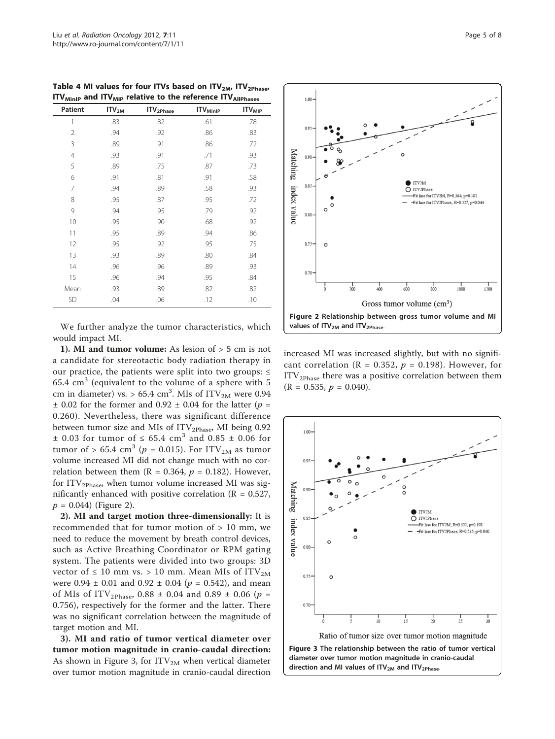| <b>Patient</b> | IV <sub>2M</sub> | ITV <sub>2Phase</sub> | $IV_{MinIP}$ | <b>ITV<sub>MIP</sub></b> |
|----------------|------------------|-----------------------|--------------|--------------------------|
| 1              | .83              | .82                   | .61          | .78                      |
| $\overline{2}$ | .94              | .92                   | .86          | .83                      |
| 3              | .89              | .91                   | .86          | .72                      |
| $\overline{4}$ | .93              | .91                   | .71          | .93                      |
| 5              | .89              | .75                   | .87          | .73                      |
| 6              | .91              | .81                   | .91          | .58                      |
| 7              | .94              | .89                   | .58          | .93                      |
| 8              | .95              | .87                   | .95          | .72                      |
| 9              | .94              | .95                   | .79          | .92                      |
| 10             | .95              | .90                   | .68          | .92                      |
| 11             | .95              | .89                   | .94          | .86                      |
| 12             | .95              | .92                   | .95          | .75                      |
| 13             | .93              | .89                   | .80          | .84                      |
| 14             | .96              | .96                   | .89          | .93                      |
| 15             | .96              | .94                   | .95          | .84                      |
| Mean           | .93              | .89                   | .82          | .82                      |
| <b>SD</b>      | .04              | .06                   | .12          | .10                      |

<span id="page-4-0"></span>Table 4 MI values for four ITVs based on  $\text{ITV}_{2\text{M}}$ , ITV<sub>2Phase</sub>,  $IV_{\text{MinIP}}$  and  $IV_{\text{MIP}}$  relative to the reference  $IV_{\text{AllPhases}}$ 

We further analyze the tumor characteristics, which would impact MI.

1). MI and tumor volume: As lesion of  $> 5$  cm is not a candidate for stereotactic body radiation therapy in our practice, the patients were split into two groups:  $\leq$ 65.4  $\text{cm}^3$  (equivalent to the volume of a sphere with 5 cm in diameter) vs. > 65.4 cm<sup>3</sup>. MIs of  $\text{ITV}_{2\text{M}}$  were 0.94  $\pm$  0.02 for the former and 0.92  $\pm$  0.04 for the latter (p = 0.260). Nevertheless, there was significant difference between tumor size and MIs of  $ITV_{2Phase}$ , MI being 0.92 ± 0.03 for tumor of ≤ 65.4 cm<sup>3</sup> and 0.85 ± 0.06 for tumor of > 65.4 cm<sup>3</sup> ( $p = 0.015$ ). For ITV<sub>2M</sub> as tumor volume increased MI did not change much with no correlation between them ( $R = 0.364$ ,  $p = 0.182$ ). However, for  $ITV_{2Phase}$ , when tumor volume increased MI was significantly enhanced with positive correlation ( $R = 0.527$ ,  $p = 0.044$ ) (Figure 2).

2). MI and target motion three-dimensionally: It is recommended that for tumor motion of > 10 mm, we need to reduce the movement by breath control devices, such as Active Breathing Coordinator or RPM gating system. The patients were divided into two groups: 3D vector of  $\leq 10$  mm vs. > 10 mm. Mean MIs of ITV<sub>2M</sub> were  $0.94 \pm 0.01$  and  $0.92 \pm 0.04$  ( $p = 0.542$ ), and mean of MIs of ITV<sub>2Phase</sub>, 0.88  $\pm$  0.04 and 0.89  $\pm$  0.06 (p = 0.756), respectively for the former and the latter. There was no significant correlation between the magnitude of target motion and MI.

3). MI and ratio of tumor vertical diameter over tumor motion magnitude in cranio-caudal direction: As shown in Figure 3, for  $ITV<sub>2M</sub>$  when vertical diameter over tumor motion magnitude in cranio-caudal direction



increased MI was increased slightly, but with no significant correlation ( $R = 0.352$ ,  $p = 0.198$ ). However, for  $IV<sub>2Phase</sub>$  there was a positive correlation between them  $(R = 0.535, p = 0.040).$ 

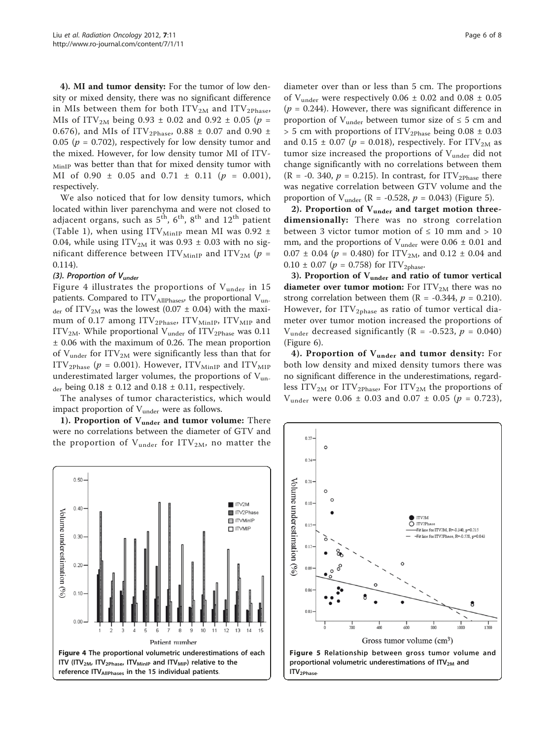4). MI and tumor density: For the tumor of low density or mixed density, there was no significant difference in MIs between them for both  $\text{ITV}_{2M}$  and  $\text{ITV}_{2Phase}$ MIs of ITV<sub>2M</sub> being 0.93  $\pm$  0.02 and 0.92  $\pm$  0.05 (p = 0.676), and MIs of ITV<sub>2Phase</sub>, 0.88  $\pm$  0.07 and 0.90  $\pm$ 0.05 ( $p = 0.702$ ), respectively for low density tumor and the mixed. However, for low density tumor MI of ITV-MinIP was better than that for mixed density tumor with MI of  $0.90 \pm 0.05$  and  $0.71 \pm 0.11$  ( $p = 0.001$ ), respectively.

We also noticed that for low density tumors, which located within liver parenchyma and were not closed to adjacent organs, such as  $5<sup>th</sup>$ ,  $6<sup>th</sup>$ ,  $8<sup>th</sup>$  and  $12<sup>th</sup>$  patient (Table [1\)](#page-3-0), when using ITV $_{\text{MinIP}}$  mean MI was 0.92  $\pm$ 0.04, while using ITV<sub>2M</sub> it was 0.93  $\pm$  0.03 with no significant difference between ITV $_{\text{MinIP}}$  and ITV<sub>2M</sub> (p = 0.114).

# (3). Proportion of  $V_{under}$

Figure 4 illustrates the proportions of  $V_{under}$  in 15 patients. Compared to  $ITV_{AllPhases}$ , the proportional  $V_{un}$ . der of ITV<sub>2M</sub> was the lowest (0.07  $\pm$  0.04) with the maximum of 0.17 among  $\text{ITV}_{\text{2Phase}}$ ,  $\text{ITV}_{\text{MinIP}}$ ,  $\text{ITV}_{\text{MIP}}$  and ITV<sub>2M</sub>. While proportional V<sub>under</sub> of ITV<sub>2Phase</sub> was 0.11 ± 0.06 with the maximum of 0.26. The mean proportion of  $V_{under}$  for ITV<sub>2M</sub> were significantly less than that for ITV<sub>2Phase</sub> ( $p = 0.001$ ). However, ITV<sub>MinIP</sub> and ITV<sub>MIP</sub> underestimated larger volumes, the proportions of  $V_{\text{un}}$ .  $_{\text{der}}$  being 0.18  $\pm$  0.12 and 0.18  $\pm$  0.11, respectively.

The analyses of tumor characteristics, which would impact proportion of  $V_{under}$  were as follows.

1). Proportion of  $V_{under}$  and tumor volume: There were no correlations between the diameter of GTV and the proportion of  $V_{under}$  for  $ITV_{2M}$ , no matter the



diameter over than or less than 5 cm. The proportions of  $V_{under}$  were respectively 0.06  $\pm$  0.02 and 0.08  $\pm$  0.05 ( $p = 0.244$ ). However, there was significant difference in proportion of  $V_{under}$  between tumor size of  $\leq 5$  cm and  $>$  5 cm with proportions of ITV<sub>2Phase</sub> being 0.08  $\pm$  0.03 and 0.15  $\pm$  0.07 ( $p = 0.018$ ), respectively. For ITV<sub>2M</sub> as tumor size increased the proportions of  $V_{under}$  did not change significantly with no correlations between them (R = -0. 340,  $p = 0.215$ ). In contrast, for ITV<sub>2Phase</sub> there was negative correlation between GTV volume and the proportion of  $V_{under}$  (R = -0.528,  $p = 0.043$ ) (Figure 5).

2). Proportion of  $V_{under}$  and target motion threedimensionally: There was no strong correlation between 3 victor tumor motion of  $\leq 10$  mm and  $> 10$ mm, and the proportions of  $V_{under}$  were 0.06  $\pm$  0.01 and  $0.07 \pm 0.04$  ( $p = 0.480$ ) for ITV<sub>2M</sub>, and  $0.12 \pm 0.04$  and  $0.10 \pm 0.07$  ( $p = 0.758$ ) for ITV<sub>2phase</sub>.

3). Proportion of  $V_{under}$  and ratio of tumor vertical diameter over tumor motion: For  $\text{ITV}_{2M}$  there was no strong correlation between them ( $R = -0.344$ ,  $p = 0.210$ ). However, for  $\text{ITV}_{\text{2phase}}$  as ratio of tumor vertical diameter over tumor motion increased the proportions of  $V_{under}$  decreased significantly (R = -0.523,  $p = 0.040$ ) (Figure [6\)](#page-6-0).

4). Proportion of  $V_{under}$  and tumor density: For both low density and mixed density tumors there was no significant difference in the underestimations, regardless  $\text{ITV}_{2M}$  or  $\text{ITV}_{2\text{Phase}}$ , For  $\text{ITV}_{2M}$  the proportions of  $V_{under}$  were 0.06  $\pm$  0.03 and 0.07  $\pm$  0.05 ( $p = 0.723$ ),

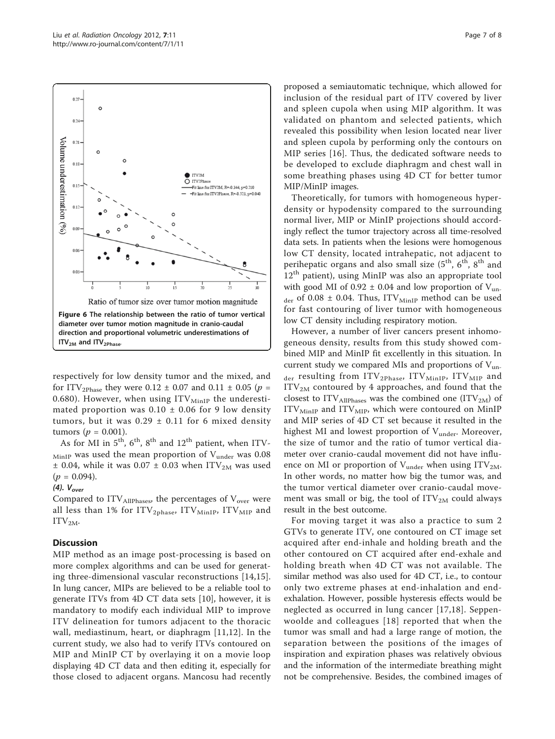<span id="page-6-0"></span>

respectively for low density tumor and the mixed, and for ITV<sub>2Phase</sub> they were 0.12  $\pm$  0.07 and 0.11  $\pm$  0.05 (p = 0.680). However, when using  $ITV<sub>MinIP</sub>$  the underestimated proportion was  $0.10 \pm 0.06$  for 9 low density tumors, but it was  $0.29 \pm 0.11$  for 6 mixed density tumors ( $p = 0.001$ ).

As for MI in  $5^{th}$ ,  $6^{th}$ ,  $8^{th}$  and  $12^{th}$  patient, when ITV- $_{\text{MinIP}}$  was used the mean proportion of  $V_{\text{under}}$  was 0.08  $\pm$  0.04, while it was 0.07  $\pm$  0.03 when ITV<sub>2M</sub> was used  $(p = 0.094)$ .

# (4).  $V_{over}$

Compared to  $ITV_{\text{AllPhases}}$ , the percentages of  $V_{\text{over}}$  were all less than 1% for  $\text{ITV}_{\text{2phase}}$ ,  $\text{ITV}_{\text{MinIP}}$ ,  $\text{ITV}_{\text{MIP}}$  and  $ITV<sub>2M</sub>$ 

### **Discussion**

MIP method as an image post-processing is based on more complex algorithms and can be used for generating three-dimensional vascular reconstructions [[14,15](#page-7-0)]. In lung cancer, MIPs are believed to be a reliable tool to generate ITVs from 4D CT data sets [\[10](#page-7-0)], however, it is mandatory to modify each individual MIP to improve ITV delineation for tumors adjacent to the thoracic wall, mediastinum, heart, or diaphragm [[11,12\]](#page-7-0). In the current study, we also had to verify ITVs contoured on MIP and MinIP CT by overlaying it on a movie loop displaying 4D CT data and then editing it, especially for those closed to adjacent organs. Mancosu had recently

proposed a semiautomatic technique, which allowed for inclusion of the residual part of ITV covered by liver and spleen cupola when using MIP algorithm. It was validated on phantom and selected patients, which revealed this possibility when lesion located near liver and spleen cupola by performing only the contours on MIP series [[16\]](#page-7-0). Thus, the dedicated software needs to be developed to exclude diaphragm and chest wall in some breathing phases using 4D CT for better tumor MIP/MinIP images.

Theoretically, for tumors with homogeneous hyperdensity or hypodensity compared to the surrounding normal liver, MIP or MinIP projections should accordingly reflect the tumor trajectory across all time-resolved data sets. In patients when the lesions were homogenous low CT density, located intrahepatic, not adjacent to perihepatic organs and also small size (5<sup>th</sup>, 6<sup>th</sup>, 8<sup>th</sup> and  $12<sup>th</sup>$  patient), using MinIP was also an appropriate tool with good MI of 0.92  $\pm$  0.04 and low proportion of V<sub>un-</sub>  $_{\text{der}}$  of 0.08  $\pm$  0.04. Thus, ITV<sub>MinIP</sub> method can be used for fast contouring of liver tumor with homogeneous low CT density including respiratory motion.

However, a number of liver cancers present inhomogeneous density, results from this study showed combined MIP and MinIP fit excellently in this situation. In current study we compared MIs and proportions of  $V_{\text{un-}}$  $_{\text{der}}$  resulting from ITV<sub>2Phase</sub>, ITV<sub>MinIP</sub>, ITV<sub>MIP</sub> and  $ITV<sub>2M</sub>$  contoured by 4 approaches, and found that the closest to ITV<sub>AllPhases</sub> was the combined one  $(ITV<sub>2M</sub>)$  of  $\rm ITV_{MinIP}$  and  $\rm ITV_{MIP}$  which were contoured on  $\rm MinIP$ and MIP series of 4D CT set because it resulted in the highest MI and lowest proportion of V<sub>under</sub>. Moreover, the size of tumor and the ratio of tumor vertical diameter over cranio-caudal movement did not have influence on MI or proportion of  $V_{under}$  when using ITV<sub>2M</sub>. In other words, no matter how big the tumor was, and the tumor vertical diameter over cranio-caudal movement was small or big, the tool of  $ITV<sub>2M</sub>$  could always result in the best outcome.

For moving target it was also a practice to sum 2 GTVs to generate ITV, one contoured on CT image set acquired after end-inhale and holding breath and the other contoured on CT acquired after end-exhale and holding breath when 4D CT was not available. The similar method was also used for 4D CT, i.e., to contour only two extreme phases at end-inhalation and endexhalation. However, possible hysteresis effects would be neglected as occurred in lung cancer [[17,18\]](#page-7-0). Seppenwoolde and colleagues [[18](#page-7-0)] reported that when the tumor was small and had a large range of motion, the separation between the positions of the images of inspiration and expiration phases was relatively obvious and the information of the intermediate breathing might not be comprehensive. Besides, the combined images of